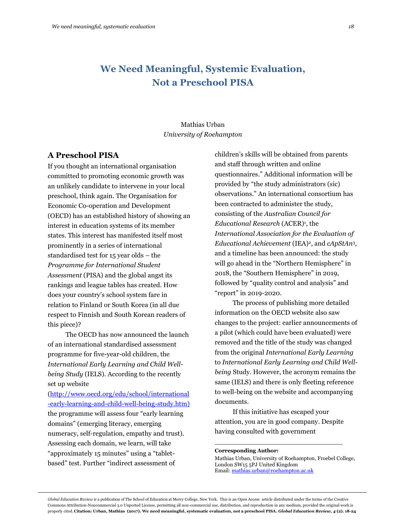### Mathias Urban *University of Roehampton*

### **A Preschool PISA**

If you thought an international organisation committed to promoting economic growth was an unlikely candidate to intervene in your local preschool, think again. The Organisation for Economic Co-operation and Development (OECD) has an established history of showing an interest in education systems of its member states. This interest has manifested itself most prominently in a series of international standardised test for 15 year olds – the *Programme for International Student Assessment* (PISA) and the global angst its rankings and league tables has created. How does your country's school system fare in relation to Finland or South Korea (in all due respect to Finnish and South Korean readers of this piece)?

The OECD has now announced the launch of an international standardised assessment programme for five-year-old children, the *International Early Learning and Child Wellbeing Study* (IELS). According to the recently set up website

[\(http://www.oecd.org/edu/school/international](http://www.oecd.org/edu/school/international-early-learning-and-child-well-being-study.htm) [-early-learning-and-child-well-being-study.htm\)](http://www.oecd.org/edu/school/international-early-learning-and-child-well-being-study.htm) the programme will assess four "early learning domains" (emerging literacy, emerging numeracy, self-regulation, empathy and trust). Assessing each domain, we learn, will take "approximately 15 minutes" using a "tabletbased" test. Further "indirect assessment of

children's skills will be obtained from parents and staff through written and online questionnaires." Additional information will be provided by "the study administrators (sic) observations." An international consortium has been contracted to administer the study, consisting of the *Australian Council for*  Educational Research (ACER)<sup>1</sup>, the *International Association for the Evaluation of Educational Achievement* (IEA)2, and *cApStAn*3, and a timeline has been announced: the study will go ahead in the "Northern Hemisphere" in 2018, the "Southern Hemisphere" in 2019, followed by "quality control and analysis" and "report" in 2019-2020.

The process of publishing more detailed information on the OECD website also saw changes to the project: earlier announcements of a pilot (which could have been evaluated) were removed and the title of the study was changed from the original *International Early Learning*  to *International Early Learning and Child Wellbeing* Study. However, the acronym remains the same (IELS) and there is only fleeting reference to well-being on the website and accompanying documents.

If this initiative has escaped your attention, you are in good company. Despite having consulted with government

\_\_\_\_\_\_\_\_\_\_\_\_\_\_\_\_\_\_\_\_\_\_\_\_\_\_\_\_\_\_

#### **Corresponding Author:**

Mathias Urban, University of Roehampton, Froebel College, London SW15 5PJ United Kingdom Email[: mathias.urban@roehampton.ac.uk](mailto:mathias.urban@roehampton.ac.uk)

*Global Education Review* is a publication of The School of Education at Mercy College, New York. This is an Open Access article distributed under the terms of the Creative Commons Attribution-Noncommercial 3.0 Unported License, permitting all non-commercial use, distribution, and reproduction in any medium, provided the original work is properly cited. **Citation: Urban, Mathias (2017). We need meaningful, systematic evaluation, not a preschool PISA.** *Global Education Review, 4* **(2). 18-24**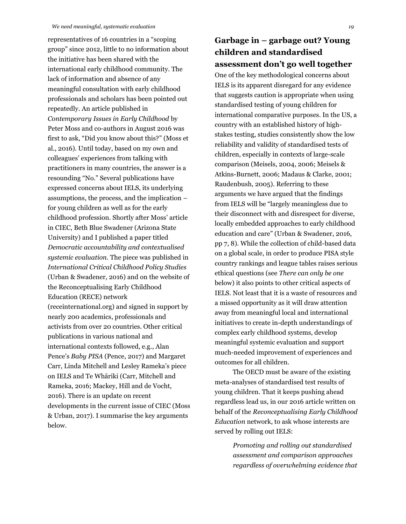representatives of 16 countries in a "scoping group" since 2012, little to no information about the initiative has been shared with the international early childhood community. The lack of information and absence of any meaningful consultation with early childhood professionals and scholars has been pointed out repeatedly. An article published in *Contemporary Issues in Early Childhood* by Peter Moss and co-authors in August 2016 was first to ask, "Did you know about this?" (Moss et al., 2016). Until today, based on my own and colleagues' experiences from talking with practitioners in many countries, the answer is a resounding "No." Several publications have expressed concerns about IELS, its underlying assumptions, the process, and the implication – for young children as well as for the early childhood profession. Shortly after Moss' article in CIEC, Beth Blue Swadener (Arizona State University) and I published a paper titled *Democratic accountability and contextualised systemic evaluation.* The piece was published in *International Critical Childhood Policy Studies*  (Urban & Swadener, 2016) and on the website of the Reconceptualising Early Childhood Education (RECE) network (receinternational.org) and signed in support by nearly 200 academics, professionals and activists from over 20 countries. Other critical publications in various national and international contexts followed, e.g., Alan Pence's *Baby PISA* (Pence, 2017) and Margaret Carr, Linda Mitchell and Lesley Rameka's piece on IELS and Te Whāriki (Carr, Mitchell and Rameka, 2016; Mackey, Hill and de Vocht, 2016). There is an update on recent developments in the current issue of CIEC (Moss & Urban, 2017). I summarise the key arguments below.

## **Garbage in – garbage out? Young children and standardised assessment don't go well together**

One of the key methodological concerns about IELS is its apparent disregard for any evidence that suggests caution is appropriate when using standardised testing of young children for international comparative purposes. In the US, a country with an established history of highstakes testing, studies consistently show the low reliability and validity of standardised tests of children, especially in contexts of large-scale comparison (Meisels, 2004, 2006; Meisels & Atkins-Burnett, 2006; Madaus & Clarke, 2001; Raudenbush, 2005). Referring to these arguments we have argued that the findings from IELS will be "largely meaningless due to their disconnect with and disrespect for diverse, locally embedded approaches to early childhood education and care" (Urban & Swadener, 2016, pp 7, 8). While the collection of child-based data on a global scale, in order to produce PISA style country rankings and league tables raises serious ethical questions (see *There can only be one* below) it also points to other critical aspects of IELS. Not least that it is a waste of resources and a missed opportunity as it will draw attention away from meaningful local and international initiatives to create in-depth understandings of complex early childhood systems, develop meaningful systemic evaluation and support much-needed improvement of experiences and outcomes for all children.

The OECD must be aware of the existing meta-analyses of standardised test results of young children. That it keeps pushing ahead regardless lead us, in our 2016 article written on behalf of the *Reconceptualising Early Childhood Education* network, to ask whose interests are served by rolling out IELS:

> *Promoting and rolling out standardised assessment and comparison approaches regardless of overwhelming evidence that*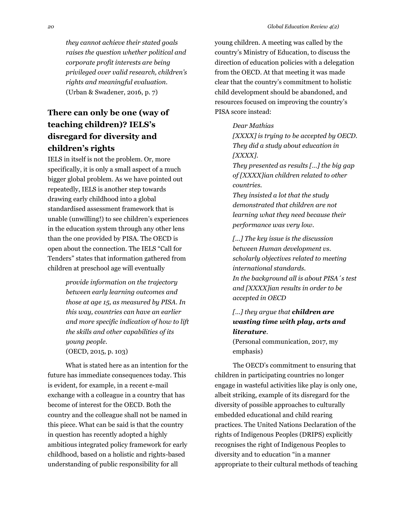*they cannot achieve their stated goals raises the question whether political and corporate profit interests are being privileged over valid research, children's rights and meaningful evaluation.* (Urban & Swadener, 2016, p. 7)

# **There can only be one (way of teaching children)? IELS's disregard for diversity and children's rights**

IELS in itself is not the problem. Or, more specifically, it is only a small aspect of a much bigger global problem. As we have pointed out repeatedly, IELS is another step towards drawing early childhood into a global standardised assessment framework that is unable (unwilling!) to see children's experiences in the education system through any other lens than the one provided by PISA. The OECD is open about the connection. The IELS "Call for Tenders" states that information gathered from children at preschool age will eventually

> *provide information on the trajectory between early learning outcomes and those at age 15, as measured by PISA. In this way, countries can have an earlier and more specific indication of how to lift the skills and other capabilities of its young people.* (OECD, 2015, p. 103)

What is stated here as an intention for the future has immediate consequences today. This is evident, for example, in a recent e-mail exchange with a colleague in a country that has become of interest for the OECD. Both the country and the colleague shall not be named in this piece. What can be said is that the country in question has recently adopted a highly ambitious integrated policy framework for early childhood, based on a holistic and rights-based understanding of public responsibility for all

young children. A meeting was called by the country's Ministry of Education, to discuss the direction of education policies with a delegation from the OECD. At that meeting it was made clear that the country's commitment to holistic child development should be abandoned, and resources focused on improving the country's PISA score instead:

#### *Dear Mathias*

*[XXXX] is trying to be accepted by OECD. They did a study about education in [XXXX].*

*They presented as results […] the big gap of [XXXX]ian children related to other countries.*

*They insisted a lot that the study demonstrated that children are not learning what they need because their performance was very low.*

*[…] The key issue is the discussion between Human development vs. scholarly objectives related to meeting international standards. In the background all is about PISA´s test and [XXXX]ian results in order to be accepted in OECD*

### *[…] they argue that children are wasting time with play, arts and literature.*

(Personal communication, 2017, my emphasis)

The OECD's commitment to ensuring that children in participating countries no longer engage in wasteful activities like play is only one, albeit striking, example of its disregard for the diversity of possible approaches to culturally embedded educational and child rearing practices. The United Nations Declaration of the rights of Indigenous Peoples (DRIPS) explicitly recognises the right of Indigenous Peoples to diversity and to education "in a manner appropriate to their cultural methods of teaching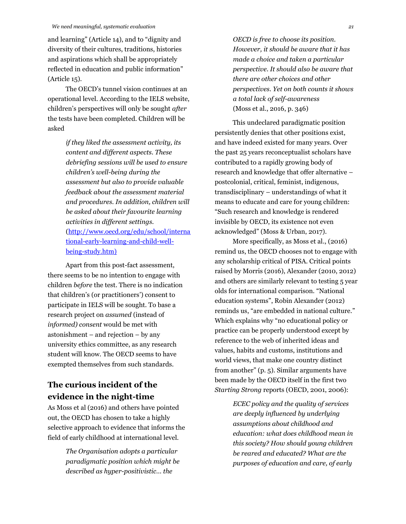and learning" (Article 14), and to "dignity and diversity of their cultures, traditions, histories and aspirations which shall be appropriately reflected in education and public information" (Article 15).

The OECD's tunnel vision continues at an operational level. According to the IELS website, children's perspectives will only be sought *after* the tests have been completed. Children will be asked

> *if they liked the assessment activity, its content and different aspects. These debriefing sessions will be used to ensure children's well-being during the assessment but also to provide valuable feedback about the assessment material and procedures. In addition, children will be asked about their favourite learning activities in different settings.* [\(http://www.oecd.org/edu/school/interna](http://www.oecd.org/edu/school/international-early-learning-and-child-well-being-study.htm) [tional-early-learning-and-child-well](http://www.oecd.org/edu/school/international-early-learning-and-child-well-being-study.htm)[being-study.htm\)](http://www.oecd.org/edu/school/international-early-learning-and-child-well-being-study.htm)

Apart from this post-fact assessment, there seems to be no intention to engage with children *before* the test. There is no indication that children's (or practitioners') consent to participate in IELS will be sought. To base a research project on *assumed* (instead of *informed) consent* would be met with astonishment – and rejection – by any university ethics committee, as any research student will know. The OECD seems to have exempted themselves from such standards.

### **The curious incident of the evidence in the night-time**

As Moss et al (2016) and others have pointed out, the OECD has chosen to take a highly selective approach to evidence that informs the field of early childhood at international level.

> *The Organisation adopts a particular paradigmatic position which might be described as hyper-positivistic… the*

*OECD is free to choose its position. However, it should be aware that it has made a choice and taken a particular perspective. It should also be aware that there are other choices and other perspectives. Yet on both counts it shows a total lack of self-awareness* (Moss et al., 2016, p. 346)

This undeclared paradigmatic position persistently denies that other positions exist, and have indeed existed for many years. Over the past 25 years reconceptualist scholars have contributed to a rapidly growing body of research and knowledge that offer alternative – postcolonial, critical, feminist, indigenous, transdisciplinary – understandings of what it means to educate and care for young children: "Such research and knowledge is rendered invisible by OECD, its existence not even acknowledged" (Moss & Urban, 2017).

More specifically, as Moss et al., (2016) remind us, the OECD chooses not to engage with any scholarship critical of PISA. Critical points raised by Morris (2016), Alexander (2010, 2012) and others are similarly relevant to testing 5 year olds for international comparison. "National education systems", Robin Alexander (2012) reminds us, "are embedded in national culture." Which explains why "no educational policy or practice can be properly understood except by reference to the web of inherited ideas and values, habits and customs, institutions and world views, that make one country distinct from another" (p. 5). Similar arguments have been made by the OECD itself in the first two *Starting Strong* reports (OECD, 2001, 2006):

> *ECEC policy and the quality of services are deeply influenced by underlying assumptions about childhood and education: what does childhood mean in this society? How should young children be reared and educated? What are the purposes of education and care, of early*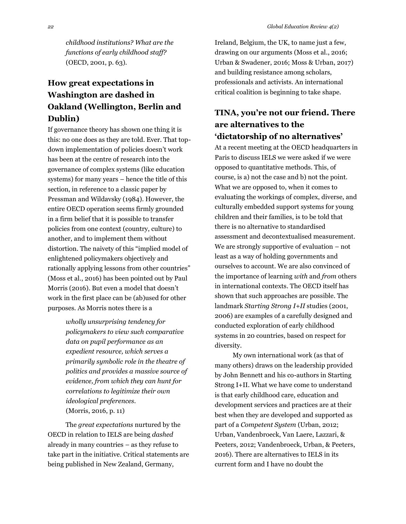*childhood institutions? What are the functions of early childhood staff?* (OECD, 2001, p. 63).

# **How great expectations in Washington are dashed in Oakland (Wellington, Berlin and Dublin)**

If governance theory has shown one thing it is this: no one does as they are told. Ever. That topdown implementation of policies doesn't work has been at the centre of research into the governance of complex systems (like education systems) for many years – hence the title of this section, in reference to a classic paper by Pressman and Wildavsky (1984). However, the entire OECD operation seems firmly grounded in a firm belief that it is possible to transfer policies from one context (country, culture) to another, and to implement them without distortion. The naivety of this "implied model of enlightened policymakers objectively and rationally applying lessons from other countries" (Moss et al., 2016) has been pointed out by Paul Morris (2016). But even a model that doesn't work in the first place can be (ab)used for other purposes. As Morris notes there is a

> *wholly unsurprising tendency for policymakers to view such comparative data on pupil performance as an expedient resource, which serves a primarily symbolic role in the theatre of politics and provides a massive source of evidence, from which they can hunt for correlations to legitimize their own ideological preferences.* (Morris, 2016, p. 11)

The *great expectations* nurtured by the OECD in relation to IELS are being *dashed* already in many countries – as they refuse to take part in the initiative. Critical statements are being published in New Zealand, Germany,

Ireland, Belgium, the UK, to name just a few, drawing on our arguments (Moss et al., 2016; Urban & Swadener, 2016; Moss & Urban, 2017) and building resistance among scholars, professionals and activists. An international critical coalition is beginning to take shape.

## **TINA, you're not our friend. There are alternatives to the 'dictatorship of no alternatives'**

At a recent meeting at the OECD headquarters in Paris to discuss IELS we were asked if we were opposed to quantitative methods. This, of course, is a) not the case and b) not the point. What we are opposed to, when it comes to evaluating the workings of complex, diverse, and culturally embedded support systems for young children and their families, is to be told that there is no alternative to standardised assessment and decontextualised measurement. We are strongly supportive of evaluation – not least as a way of holding governments and ourselves to account. We are also convinced of the importance of learning *with* and *from* others in international contexts. The OECD itself has shown that such approaches are possible. The landmark *Starting Strong I+II* studies (2001, 2006) are examples of a carefully designed and conducted exploration of early childhood systems in 20 countries, based on respect for diversity.

My own international work (as that of many others) draws on the leadership provided by John Bennett and his co-authors in Starting Strong I+II. What we have come to understand is that early childhood care, education and development services and practices are at their best when they are developed and supported as part of a *Competent System* (Urban, 2012; Urban, Vandenbroeck, Van Laere, Lazzari, & Peeters, 2012; Vandenbroeck, Urban, & Peeters, 2016). There are alternatives to IELS in its current form and I have no doubt the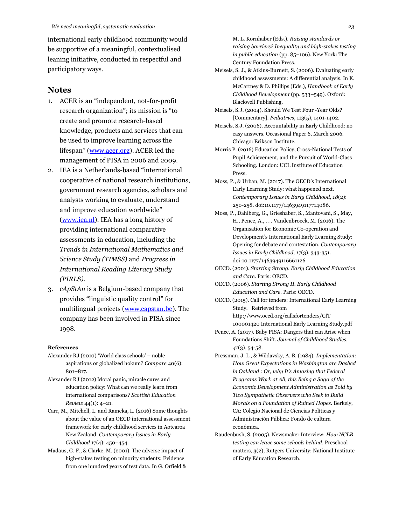international early childhood community would be supportive of a meaningful, contextualised leaning initiative, conducted in respectful and participatory ways.

#### **Notes**

- 1. ACER is an "independent, not-for-profit research organization"; its mission is "to create and promote research-based knowledge, products and services that can be used to improve learning across the lifespan" [\(www.acer.org\)](http://www.acer.org/). ACER led the management of PISA in 2006 and 2009.
- 2. IEA is a Netherlands-based "international cooperative of national research institutions, government research agencies, scholars and analysts working to evaluate, understand and improve education worldwide" [\(www.iea.nl\)](http://www.iea.nl/). IEA has a long history of providing international comparative assessments in education, including the *Trends in International Mathematics and Science Study (TIMSS)* and *Progress in International Reading Literacy Study (PIRLS)*.
- 3. *cApStAn* is a Belgium-based company that provides "linguistic quality control" for multilingual projects [\(www.capstan.be\)](http://www.capstan.be/). The company has been involved in PISA since 1998.

#### **References**

- Alexander RJ (2010) 'World class schools' noble aspirations or globalized hokum? *Compare* 40(6): 801–817.
- Alexander RJ (2012) Moral panic, miracle cures and education policy: What can we really learn from international comparisons? *Scottish Education Review* 44(1): 4–21.
- Carr, M., Mitchell, L. and Rameka, L. (2016) Some thoughts about the value of an OECD international assessment framework for early childhood services in Aotearoa New Zealand. *Contemporary Issues in Early Childhood* 17(4): 450–454.
- Madaus, G. F., & Clarke, M. (2001). The adverse impact of high-stakes testing on minority students: Evidence from one hundred years of test data. In G. Orfield &
- Century Foundation Press. Meisels, S. J., & Atkins-Burnett, S. (2006). Evaluating early childhood assessments: A differential analysis. In K. McCartney & D. Phillips (Eds.), *Handbook of Early Childhood Development* (pp. 533–549). Oxford: Blackwell Publishing.
- Meisels, S.J. (2004). Should We Test Four -Year Olds? [Commentary]. *Pediatrics*, 113(5), 1401-1402.
- Meisels, S.J. (2006). Accountability in Early Childhood: no easy answers. Occasional Paper 6, March 2006. Chicago: Erikson Institute.
- Morris P. (2016) Education Policy, Cross-National Tests of Pupil Achievement, and the Pursuit of World-Class Schooling. London: UCL Institute of Education Press.
- Moss, P., & Urban, M. (2017). The OECD's International Early Learning Study: what happened next. *Contemporary Issues in Early Childhood, 18*(2): 250-258. doi:10.1177/1463949117714086.
- Moss, P., Dahlberg, G., Grieshaber, S., Mantovani, S., May, H., Pence, A., . . . Vandenbroeck, M. (2016). The Organisation for Economic Co-operation and Development's International Early Learning Study: Opening for debate and contestation. *Contemporary Issues in Early Childhood, 17*(3), 343-351. doi:10.1177/1463949116661126
- OECD. (2001). *Starting Strong. Early Childhood Education and Care*. Paris: OECD.
- OECD. (2006). *Starting Strong II. Early Childhood Education and Care*. Paris: OECD.
- OECD. (2015). Call for tenders: International Early Learning Study. Retrieved from http://www.oecd.org/callsfortenders/CfT 100001420 International Early Learning Study.pdf
- Pence, A. (2017). Baby PISA: Dangers that can Arise when Foundations Shift. *Journal of Childhood Studies, 41*(3), 54-58.
- Pressman, J. L., & Wildavsky, A. B. (1984). *Implementation: How Great Expectations in Washington are Dashed in Oakland : Or, why It's Amazing that Federal Programs Work at All, this Being a Saga of the Economic Development Administration as Told by Two Sympathetic Observers who Seek to Build Morals on a Foundation of Ruined Hopes*. Berkely, CA: Colegio Nacional de Ciencias Políticas y Administración Pública: Fondo de cultura económica.
- Raudenbush, S. (2005). Newsmaker Interview: *How NCLB testing can leave some schools behind*. Preschool matters, 3(2), Rutgers University: National Institute of Early Education Research.